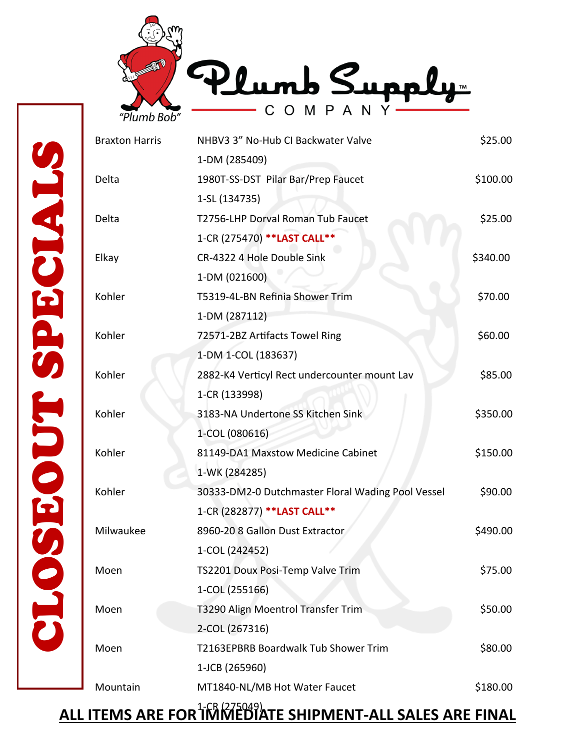



| <b>Braxton Harris</b> | NHBV3 3" No-Hub CI Backwater Valve                | \$25.00                                                             |
|-----------------------|---------------------------------------------------|---------------------------------------------------------------------|
|                       | 1-DM (285409)                                     |                                                                     |
| Delta                 | 1980T-SS-DST Pilar Bar/Prep Faucet                | \$100.00                                                            |
|                       | 1-SL (134735)                                     |                                                                     |
| Delta                 | T2756-LHP Dorval Roman Tub Faucet                 | \$25.00                                                             |
|                       | 1-CR (275470) ** LAST CALL**                      |                                                                     |
| Elkay                 | CR-4322 4 Hole Double Sink                        | \$340.00                                                            |
|                       | 1-DM (021600)                                     |                                                                     |
| Kohler                | T5319-4L-BN Refinia Shower Trim                   | \$70.00                                                             |
|                       | 1-DM (287112)                                     |                                                                     |
| Kohler                | 72571-2BZ Artifacts Towel Ring                    | \$60.00                                                             |
|                       | 1-DM 1-COL (183637)                               |                                                                     |
| Kohler                | 2882-K4 Verticyl Rect undercounter mount Lav      | \$85.00                                                             |
|                       | 1-CR (133998)                                     |                                                                     |
| EODT SPE<br>Kohler    | 3183-NA Undertone SS Kitchen Sink                 | \$350.00                                                            |
|                       | 1-COL (080616)                                    |                                                                     |
| Kohler                | 81149-DA1 Maxstow Medicine Cabinet                | \$150.00                                                            |
|                       | 1-WK (284285)                                     |                                                                     |
| Kohler                | 30333-DM2-0 Dutchmaster Floral Wading Pool Vessel | \$90.00                                                             |
|                       | 1-CR (282877) ** LAST CALL**                      |                                                                     |
| Milwaukee             | 8960-20 8 Gallon Dust Extractor                   | \$490.00                                                            |
|                       | 1-COL (242452)                                    |                                                                     |
| CLO<br>Moen           | TS2201 Doux Posi-Temp Valve Trim                  | \$75.00                                                             |
|                       | 1-COL (255166)                                    |                                                                     |
| Moen                  | T3290 Align Moentrol Transfer Trim                | \$50.00                                                             |
|                       | 2-COL (267316)                                    |                                                                     |
| Moen                  | T2163EPBRB Boardwalk Tub Shower Trim              | \$80.00                                                             |
|                       | 1-JCB (265960)                                    |                                                                     |
| Mountain              | MT1840-NL/MB Hot Water Faucet                     | \$180.00                                                            |
|                       |                                                   |                                                                     |
|                       |                                                   | <u>ALL ITEMS ARE FOR TWO RESIDENCE SHIPMENT-ALL SALES ARE FINAL</u> |